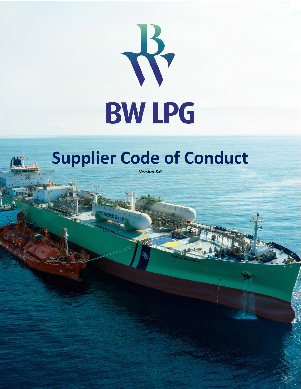

# **Supplier Code of Conduct**

*Version 3.0*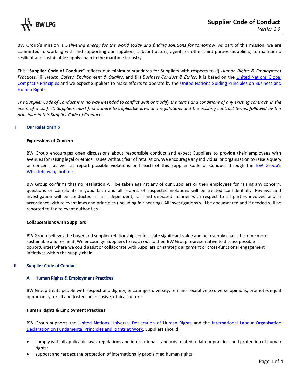

BW Group's mission is *Delivering energy for the world today and finding solutions for tomorrow*. As part of this mission, we are committed to working with and supporting our suppliers, subcontractors, agents or other third parties (Suppliers) to maintain a resilient and sustainable supply chain in the maritime industry.

This **"Supplier Code of Conduct"** reflects our minimum standards for Suppliers with respects to (i) *Human Rights & Employment Practices*, (ii) *Health, Safety, Environment & Quality,* and (iii) *Business Conduct & Ethics*. It is based on the [United Nations Global](https://www.unglobalcompact.org/what-is-gc/mission/principles)  [Compact's Principles](https://www.unglobalcompact.org/what-is-gc/mission/principles) and we expect Suppliers to make efforts to operate by the [United Nations Guiding Principles on Business and](https://www.ohchr.org/documents/publications/guidingprinciplesbusinesshr_en.pdf)  [Human Rights.](https://www.ohchr.org/documents/publications/guidingprinciplesbusinesshr_en.pdf)

*The Supplier Code of Conduct is in no way intended to conflict with or modify the terms and conditions of any existing contract. In the event of a conflict, Suppliers must first adhere to applicable laws and regulations and the existing contract terms, followed by the principles in this Supplier Code of Conduct.*

# **I. Our Relationship**

#### **Expressions of Concern**

BW Group encourages open discussions about responsible conduct and expect Suppliers to provide their employees with avenues for raising legal or ethical issues without fear of retaliation. We encourage any individual or organisation to raise a query or concern, as well as report possible violations or breach of this Supplier Code of Conduct through the [BW Group's](https://secure.ethicspoint.eu/domain/media/en/gui/105447/index.html)  [Whistleblowing hotline.](https://secure.ethicspoint.eu/domain/media/en/gui/105447/index.html)

BW Group confirms that no retaliation will be taken against any of our Suppliers or their employees for raising any concern, questions or complaints in good faith and all reports of suspected violations will be treated confidentially. Reviews and investigation will be conducted in an independent, fair and unbiased manner with respect to all parties involved and in accordance with relevant laws and principles (including fair hearing). All investigations will be documented and if needed will be reported to the relevant authorities.

#### **Collaborations with Suppliers**

BW Group believes the buyer and supplier relationship could create significant value and help supply chains become more sustainable and resilient. We encourage Suppliers to reach out to their BW Group representative to discuss possible opportunities where we could assist or collaborate with Suppliers on strategic alignment or cross-functional engagement initiatives within the supply chain.

# **II. Supplier Code of Conduct**

# **A. Human Rights & Employment Practices**

BW Group treats people with respect and dignity, encourages diversity, remains receptive to diverse opinions, promotes equal opportunity for all and fosters an inclusive, ethical culture.

# **Human Rights & Employment Practices**

BW Group supports the [United Nations Universal Declaration of Human Rights](https://www.un.org/en/about-us/universal-declaration-of-human-rights) and the [International Labour Organisation](https://www.ilo.org/declaration/lang--en/index.htm)  Declaration [on Fundamental Principles and Rights at Work.](https://www.ilo.org/declaration/lang--en/index.htm) Suppliers should:

- comply with all applicable laws, regulations and international standards related to labour practices and protection of human rights;
- support and respect the protection of internationally proclaimed human rights;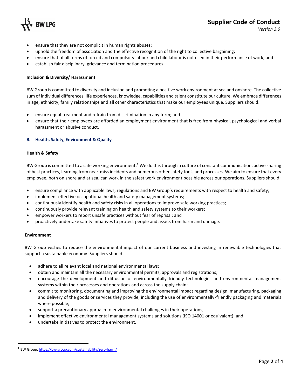

- ensure that they are not complicit in human rights abuses;
- uphold the freedom of association and the effective recognition of the right to collective bargaining;
- ensure that of all forms of forced and compulsory labour and child labour is not used in their performance of work; and
- establish fair disciplinary, grievance and termination procedures.

# **Inclusion & Diversity/ Harassment**

BW Group is committed to diversity and inclusion and promoting a positive work environment at sea and onshore. The collective sum of individual differences, life experiences, knowledge, capabilities and talent constitute our culture. We embrace differences in age, ethnicity, family relationships and all other characteristics that make our employees unique. Suppliers should:

- ensure equal treatment and refrain from discrimination in any form; and
- ensure that their employees are afforded an employment environment that is free from physical, psychological and verbal harassment or abusive conduct.

#### **B. Health, Safety, Environment & Quality**

#### **Health & Safety**

BW Group is committed to a safe working environment.<sup>1</sup> We do this through a culture of constant communication, active sharing of best practices, learning from near-miss incidents and numerous other safety tools and processes. We aim to ensure that every employee, both on shore and at sea, can work in the safest work environment possible across our operations. Suppliers should:

- ensure compliance with applicable laws, regulations and BW Group's requirements with respect to health and safety;
- implement effective occupational health and safety management systems;
- continuously identify health and safety risks in all operations to improve safe working practices;
- continuously provide relevant training on health and safety systems to their workers;
- empower workers to report unsafe practices without fear of reprisal; and
- proactively undertake safety initiatives to protect people and assets from harm and damage.

#### **Environment**

BW Group wishes to reduce the environmental impact of our current business and investing in renewable technologies that support a sustainable economy. Suppliers should:

- adhere to all relevant local and national environmental laws;
- obtain and maintain all the necessary environmental permits, approvals and registrations;
- encourage the development and diffusion of environmentally friendly technologies and environmental management systems within their processes and operations and across the supply chain;
- commit to monitoring, documenting and improving the environmental impact regarding design, manufacturing, packaging and delivery of the goods or services they provide; including the use of environmentally-friendly packaging and materials where possible;
- support a precautionary approach to environmental challenges in their operations;
- implement effective environmental management systems and solutions (ISO 14001 or equivalent); and
- undertake initiatives to protect the environment.

<sup>&</sup>lt;sup>1</sup> BW Group[: https://bw-group.com/sustainability/zero-harm/](https://bw-group.com/sustainability/zero-harm/)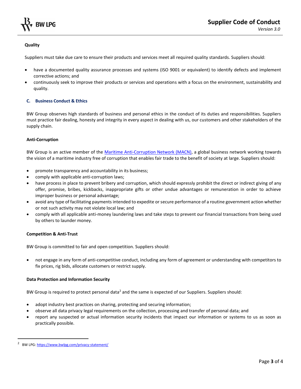

# **Quality**

Suppliers must take due care to ensure their products and services meet all required quality standards. Suppliers should:

- have a documented quality assurance processes and systems (ISO 9001 or equivalent) to identify defects and implement corrective actions; and
- continuously seek to improve their products or services and operations with a focus on the environment, sustainability and quality.

# **C. Business Conduct & Ethics**

BW Group observes high standards of business and personal ethics in the conduct of its duties and responsibilities. Suppliers must practice fair dealing, honesty and integrity in every aspect in dealing with us, our customers and other stakeholders of the supply chain.

# **Anti-Corruption**

BW Group is an active member of the [Maritime Anti-Corruption Network \(MACN\),](https://macn.dk/) a global business network working towards the vision of a maritime industry free of corruption that enables fair trade to the benefit of society at large. Suppliers should:

- promote transparency and accountability in its business;
- comply with applicable anti-corruption laws;
- have process in place to prevent bribery and corruption, which should expressly prohibit the direct or indirect giving of any offer, promise, bribes, kickbacks, inappropriate gifts or other undue advantages or remuneration in order to achieve improper business or personal advantage;
- avoid any type of facilitating payments intended to expedite or secure performance of a routine government action whether or not such activity may not violate local law; and
- comply with all applicable anti-money laundering laws and take steps to prevent our financial transactions from being used by others to launder money.

# **Competition & Anti-Trust**

BW Group is committed to fair and open competition. Suppliers should:

• not engage in any form of anti-competitive conduct, including any form of agreement or understanding with competitors to fix prices, rig bids, allocate customers or restrict supply.

# **Data Protection and Information Security**

BW Group is required to protect personal data<sup>2</sup> and the same is expected of our Suppliers. Suppliers should:

- adopt industry best practices on sharing, protecting and securing information;
- observe all data privacy legal requirements on the collection, processing and transfer of personal data; and
- report any suspected or actual information security incidents that impact our information or systems to us as soon as practically possible.

<sup>&</sup>lt;sup>2</sup> BW LPG[: https://www.bwlpg.com/privacy-statement/](https://www.bwlpg.com/privacy-statement/)